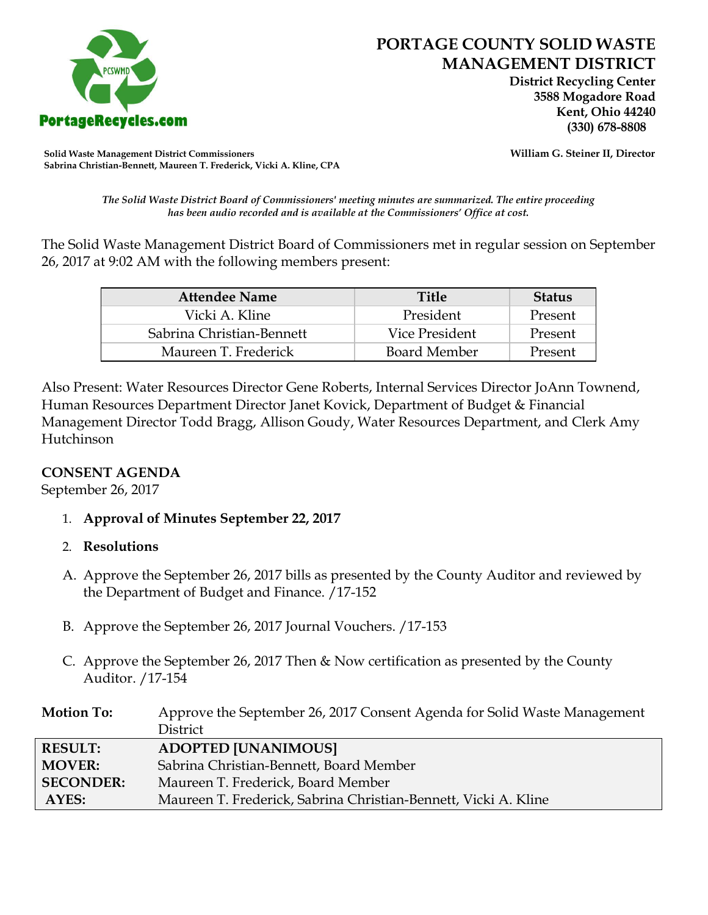

 **District Recycling Center 3588 Mogadore Road Kent, Ohio 44240**

**Solid Waste Management District Commissioners William G. Steiner II, Director Sabrina Christian-Bennett, Maureen T. Frederick, Vicki A. Kline, CPA**

*The Solid Waste District Board of Commissioners' meeting minutes are summarized. The entire proceeding has been audio recorded and is available at the Commissioners' Office at cost.*

The Solid Waste Management District Board of Commissioners met in regular session on September 26, 2017 at 9:02 AM with the following members present:

| <b>Attendee Name</b>      | <b>Title</b>        | Status  |
|---------------------------|---------------------|---------|
| Vicki A. Kline            | President           | Present |
| Sabrina Christian-Bennett | Vice President      | Present |
| Maureen T. Frederick      | <b>Board Member</b> | Present |

Also Present: Water Resources Director Gene Roberts, Internal Services Director JoAnn Townend, Human Resources Department Director Janet Kovick, Department of Budget & Financial Management Director Todd Bragg, Allison Goudy, Water Resources Department, and Clerk Amy Hutchinson

## **CONSENT AGENDA**

September 26, 2017

1. **Approval of Minutes September 22, 2017**

## 2. **Resolutions**

- A. Approve the September 26, 2017 bills as presented by the County Auditor and reviewed by the Department of Budget and Finance. /17-152
- B. Approve the September 26, 2017 Journal Vouchers. /17-153
- C. Approve the September 26, 2017 Then & Now certification as presented by the County Auditor. /17-154

| <b>Motion To:</b> | Approve the September 26, 2017 Consent Agenda for Solid Waste Management |
|-------------------|--------------------------------------------------------------------------|
|                   | District                                                                 |
| <b>RESULT:</b>    | <b>ADOPTED [UNANIMOUS]</b>                                               |
| <b>MOVER:</b>     | Sabrina Christian-Bennett, Board Member                                  |
| <b>SECONDER:</b>  | Maureen T. Frederick, Board Member                                       |
| AYES:             | Maureen T. Frederick, Sabrina Christian-Bennett, Vicki A. Kline          |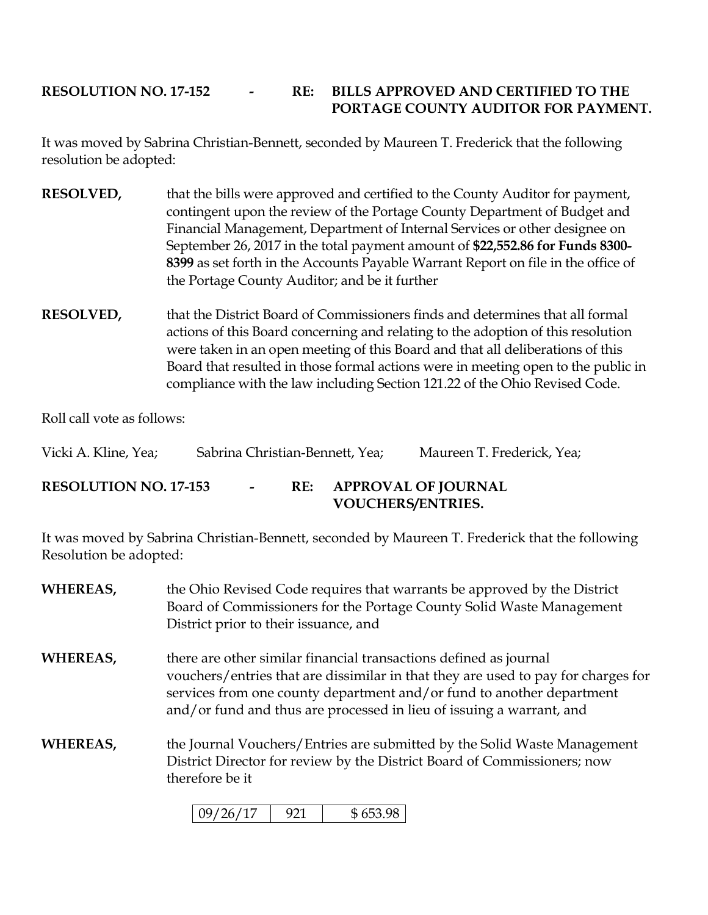## **RESOLUTION NO. 17-152 - RE: BILLS APPROVED AND CERTIFIED TO THE PORTAGE COUNTY AUDITOR FOR PAYMENT.**

It was moved by Sabrina Christian-Bennett, seconded by Maureen T. Frederick that the following resolution be adopted:

- **RESOLVED,** that the bills were approved and certified to the County Auditor for payment, contingent upon the review of the Portage County Department of Budget and Financial Management, Department of Internal Services or other designee on September 26, 2017 in the total payment amount of **\$22,552.86 for Funds 8300- 8399** as set forth in the Accounts Payable Warrant Report on file in the office of the Portage County Auditor; and be it further
- **RESOLVED,** that the District Board of Commissioners finds and determines that all formal actions of this Board concerning and relating to the adoption of this resolution were taken in an open meeting of this Board and that all deliberations of this Board that resulted in those formal actions were in meeting open to the public in compliance with the law including Section 121.22 of the Ohio Revised Code.

Roll call vote as follows:

| Vicki A. Kline, Yea;         |        |     | Sabrina Christian-Bennett, Yea; | Maureen T. Frederick, Yea; |
|------------------------------|--------|-----|---------------------------------|----------------------------|
| <b>RESOLUTION NO. 17-153</b> | $\sim$ | RE: | <b>VOUCHERS/ENTRIES.</b>        | <b>APPROVAL OF JOURNAL</b> |

It was moved by Sabrina Christian-Bennett, seconded by Maureen T. Frederick that the following Resolution be adopted:

**WHEREAS,** the Ohio Revised Code requires that warrants be approved by the District Board of Commissioners for the Portage County Solid Waste Management District prior to their issuance, and **WHEREAS,** there are other similar financial transactions defined as journal vouchers/entries that are dissimilar in that they are used to pay for charges for services from one county department and/or fund to another department and/or fund and thus are processed in lieu of issuing a warrant, and **WHEREAS,** the Journal Vouchers/Entries are submitted by the Solid Waste Management District Director for review by the District Board of Commissioners; now therefore be it

| 109/26/17 |  | \$653.98 |
|-----------|--|----------|
|-----------|--|----------|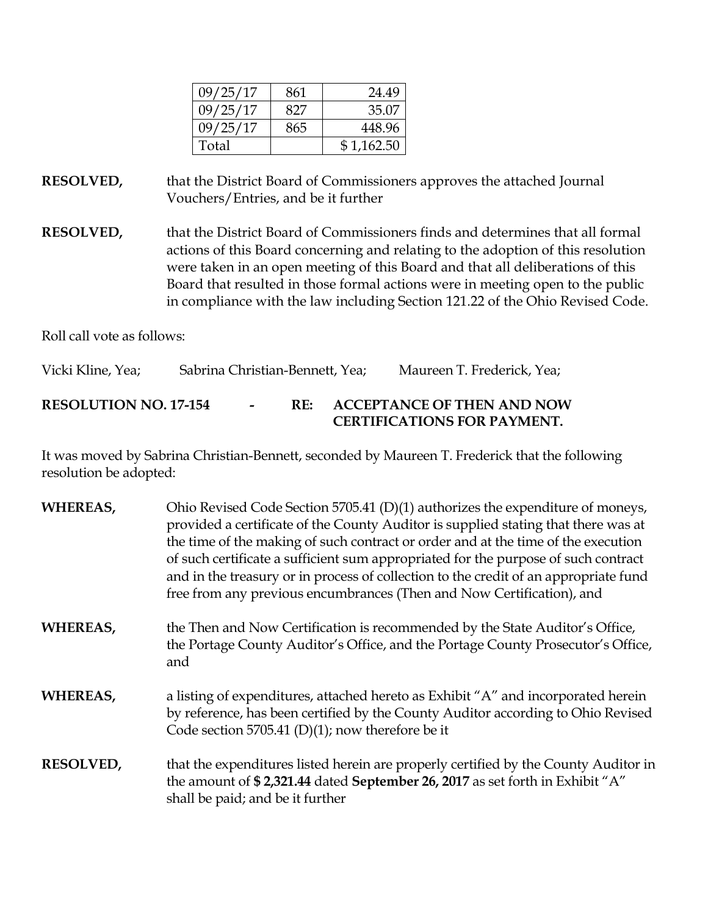| 09/25/17 | 861 | 24.49      |
|----------|-----|------------|
| 09/25/17 | 827 | 35.07      |
| 09/25/17 | 865 | 448.96     |
| Total    |     | \$1,162.50 |

**RESOLVED,** that the District Board of Commissioners approves the attached Journal Vouchers/Entries, and be it further

**RESOLVED,** that the District Board of Commissioners finds and determines that all formal actions of this Board concerning and relating to the adoption of this resolution were taken in an open meeting of this Board and that all deliberations of this Board that resulted in those formal actions were in meeting open to the public in compliance with the law including Section 121.22 of the Ohio Revised Code.

Roll call vote as follows:

Vicki Kline, Yea; Sabrina Christian-Bennett, Yea; Maureen T. Frederick, Yea;

## **RESOLUTION NO. 17-154 - RE: ACCEPTANCE OF THEN AND NOW CERTIFICATIONS FOR PAYMENT.**

It was moved by Sabrina Christian-Bennett, seconded by Maureen T. Frederick that the following resolution be adopted:

| <b>WHEREAS,</b>  | Ohio Revised Code Section 5705.41 (D)(1) authorizes the expenditure of moneys,<br>provided a certificate of the County Auditor is supplied stating that there was at<br>the time of the making of such contract or order and at the time of the execution<br>of such certificate a sufficient sum appropriated for the purpose of such contract<br>and in the treasury or in process of collection to the credit of an appropriate fund<br>free from any previous encumbrances (Then and Now Certification), and |
|------------------|------------------------------------------------------------------------------------------------------------------------------------------------------------------------------------------------------------------------------------------------------------------------------------------------------------------------------------------------------------------------------------------------------------------------------------------------------------------------------------------------------------------|
| <b>WHEREAS,</b>  | the Then and Now Certification is recommended by the State Auditor's Office,<br>the Portage County Auditor's Office, and the Portage County Prosecutor's Office,<br>and                                                                                                                                                                                                                                                                                                                                          |
| <b>WHEREAS,</b>  | a listing of expenditures, attached hereto as Exhibit "A" and incorporated herein<br>by reference, has been certified by the County Auditor according to Ohio Revised<br>Code section 5705.41 (D)(1); now therefore be it                                                                                                                                                                                                                                                                                        |
| <b>RESOLVED,</b> | that the expenditures listed herein are properly certified by the County Auditor in<br>the amount of \$2,321.44 dated September 26, 2017 as set forth in Exhibit "A"<br>shall be paid; and be it further                                                                                                                                                                                                                                                                                                         |